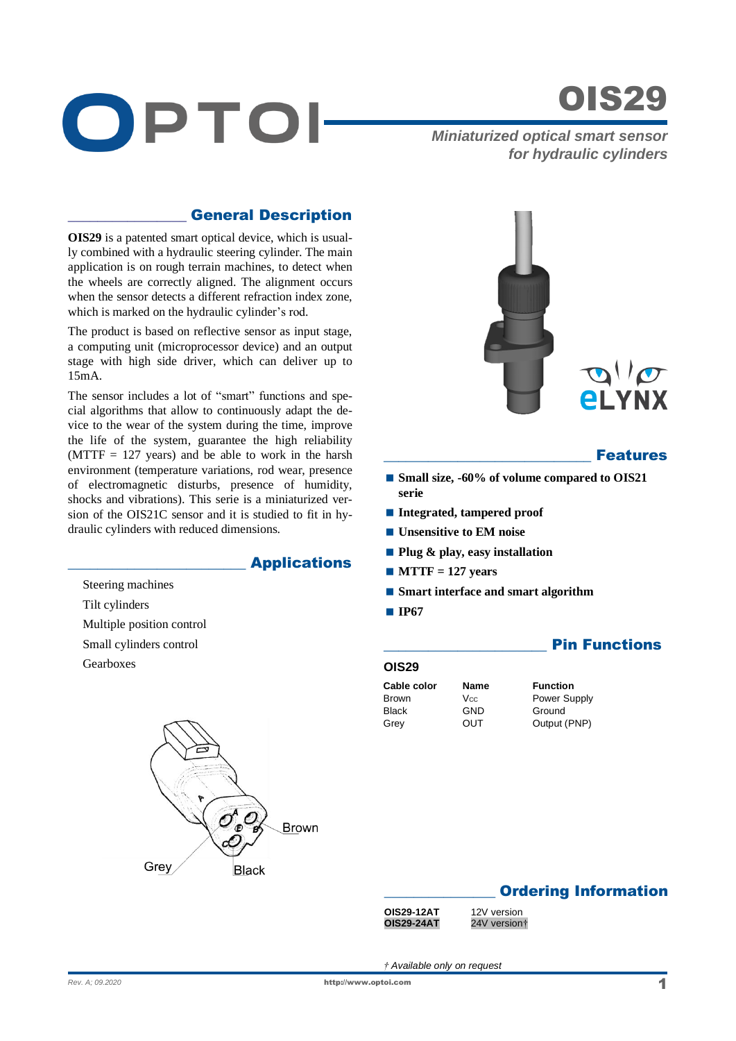



*Miniaturized optical smart sensor for hydraulic cylinders*

## \_\_\_\_\_\_\_\_\_\_\_\_\_\_\_\_ General Description

**OIS29** is a patented smart optical device, which is usually combined with a hydraulic steering cylinder. The main application is on rough terrain machines, to detect when the wheels are correctly aligned. The alignment occurs when the sensor detects a different refraction index zone, which is marked on the hydraulic cylinder's rod.

The product is based on reflective sensor as input stage, a computing unit (microprocessor device) and an output stage with high side driver, which can deliver up to 15mA.

The sensor includes a lot of "smart" functions and special algorithms that allow to continuously adapt the device to the wear of the system during the time, improve the life of the system, guarantee the high reliability  $(MTTF = 127$  years) and be able to work in the harsh environment (temperature variations, rod wear, presence of electromagnetic disturbs, presence of humidity, shocks and vibrations). This serie is a miniaturized version of the OIS21C sensor and it is studied to fit in hydraulic cylinders with reduced dimensions.

## \_\_\_\_\_\_\_\_\_\_\_\_\_\_\_\_\_\_\_\_\_\_\_\_ Applications

Steering machines Tilt cylinders Multiple position control Small cylinders control Gearboxes





#### **Features**

- Small size, -60% of volume compared to OIS21 **serie**
- **Integrated, tampered proof**
- **Unsensitive to EM noise**
- **Plug & play, easy installation**
- $M$ **MTTF** = 127 years
- Smart interface and smart algorithm
- **IP67**

## **Pin Functions**

#### **OIS29**

**Cable color Name Function** Black GND Ground<br>Grev OUT Output Grey OUT Output (PNP)

Brown V<sub>CC</sub> Power Supply

## **Ordering Information**

| OIS29-12A |
|-----------|
| OIS29-24A |

**AT** 12V version **OIS29-24AT** 24V version†

*† Available only on request*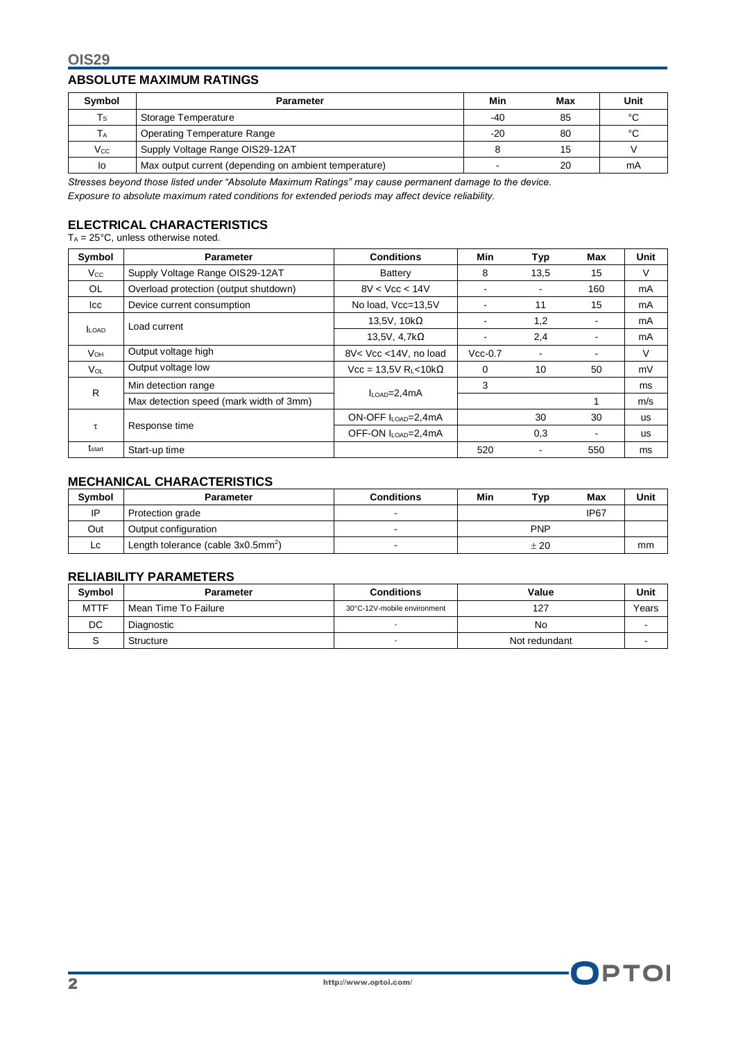#### **ABSOLUTE MAXIMUM RATINGS**

| Symbol                       | <b>Parameter</b>                                      | Min   | Max | Unit |
|------------------------------|-------------------------------------------------------|-------|-----|------|
| $T_{\scriptstyle\textrm{S}}$ | Storage Temperature                                   | -40   | 85  | °C   |
| Тa                           | <b>Operating Temperature Range</b>                    | $-20$ | 80  | °С   |
| $V_{\rm CC}$                 | Supply Voltage Range OIS29-12AT                       |       | 15  |      |
| lo                           | Max output current (depending on ambient temperature) |       | 20  | mA   |

*Stresses beyond those listed under "Absolute Maximum Ratings" may cause permanent damage to the device. Exposure to absolute maximum rated conditions for extended periods may affect device reliability.*

# **ELECTRICAL CHARACTERISTICS**

 $T_A = 25^\circ \text{C}$ , unless otherwise noted.

| Symbol             | <b>Parameter</b>                        | <b>Conditions</b>                        | Min       | Typ             | Max | <b>Unit</b> |
|--------------------|-----------------------------------------|------------------------------------------|-----------|-----------------|-----|-------------|
| $V_{\rm CC}$       | Supply Voltage Range OIS29-12AT         | Battery                                  | 8         | 13,5            | 15  | V           |
| OL.                | Overload protection (output shutdown)   | 8V < Vcc < 14V                           | -         |                 | 160 | mA          |
| Icc                | Device current consumption              | No load, Vcc=13,5V                       |           | 11              | 15  | mA          |
|                    | Load current                            | 13,5V, $10k\Omega$                       | -         | 1,2             |     | mA          |
| <b>LOAD</b>        |                                         | 13,5V, $4,7k\Omega$                      | -         | 2,4             |     | mA          |
| <b>V</b> он        | Output voltage high                     | 8V< Vcc <14V, no load                    | $Vcc-0.7$ |                 |     | V           |
| $V_{OL}$           | Output voltage low                      | Vcc = 13.5V R <sub>L</sub> <10k $\Omega$ | $\Omega$  | 10 <sup>1</sup> | 50  | mV          |
| R                  | Min detection range                     | $I_{LOAD} = 2,4mA$                       | 3         |                 |     | ms          |
|                    | Max detection speed (mark width of 3mm) |                                          |           |                 |     | m/s         |
|                    | Response time                           | ON-OFF I <sub>LOAD</sub> =2,4mA          |           | 30              | 30  | <b>us</b>   |
| $\tau$             |                                         | OFF-ON ILOAD=2,4mA                       |           | 0,3             |     | <b>us</b>   |
| $t_{\text{start}}$ | Start-up time                           |                                          | 520       |                 | 550 | ms          |

# **MECHANICAL CHARACTERISTICS**

| <b>Symbol</b> | Parameter                             | <b>Conditions</b> | Min | Typ        | Max  | Unit |
|---------------|---------------------------------------|-------------------|-----|------------|------|------|
| IP            | Protection grade                      |                   |     |            | IP67 |      |
| Out           | Output configuration                  |                   |     | <b>PNP</b> |      |      |
| Lc.           | Length tolerance (cable $3x0.5mm^2$ ) |                   |     | ± 20       |      | mm   |

## **RELIABILITY PARAMETERS**

| <b>Symbol</b> | Parameter            | <b>Conditions</b>           | Value         | Unit  |
|---------------|----------------------|-----------------------------|---------------|-------|
| <b>MTTF</b>   | Mean Time To Failure | 30°C-12V-mobile environment | 127           | Years |
| DC            | Diagnostic           |                             | No            |       |
|               | Structure            |                             | Not redundant |       |

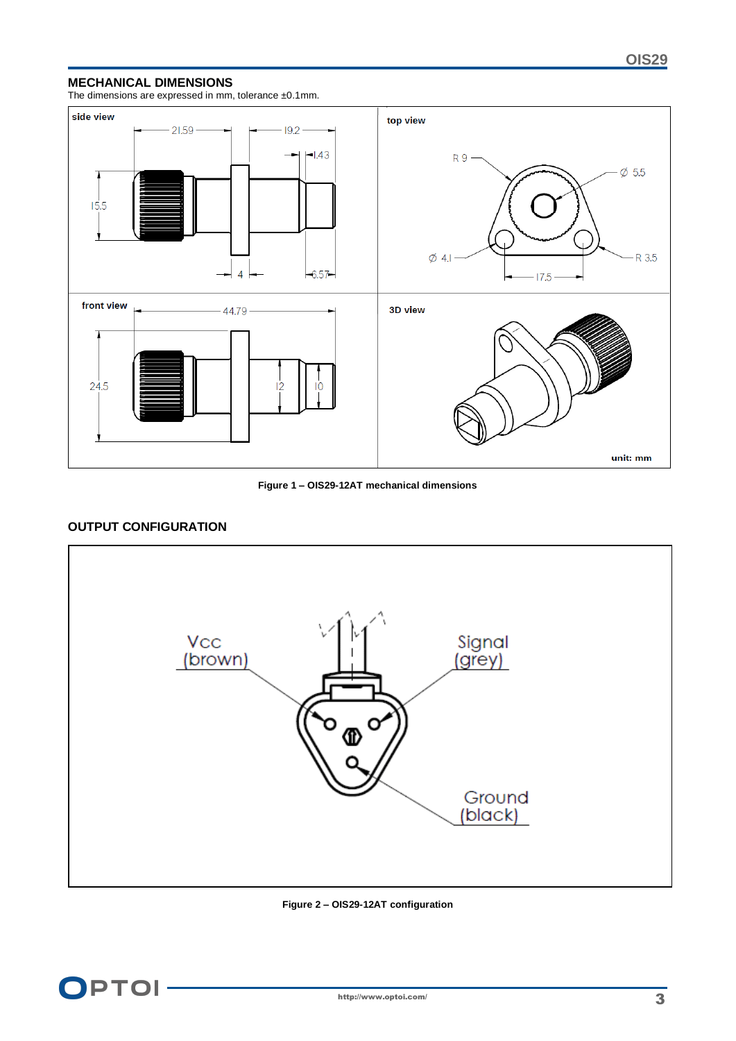#### **MECHANICAL DIMENSIONS**

The dimensions are expressed in mm, tolerance ±0.1mm.



**Figure 1 – OIS29-12AT mechanical dimensions**

## **OUTPUT CONFIGURATION**



**Figure 2 – OIS29-12AT configuration**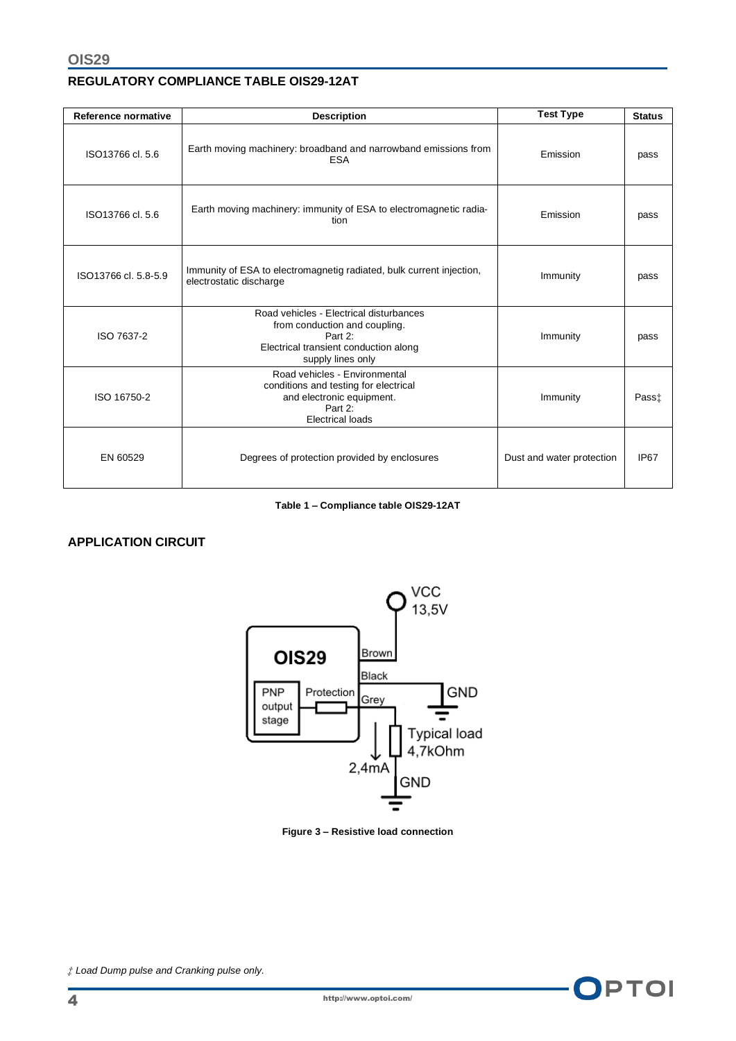## **REGULATORY COMPLIANCE TABLE OIS29-12AT**

| Reference normative  | <b>Description</b>                                                                                                                                | <b>Test Type</b>          | <b>Status</b> |
|----------------------|---------------------------------------------------------------------------------------------------------------------------------------------------|---------------------------|---------------|
| ISO13766 cl. 5.6     | Earth moving machinery: broadband and narrowband emissions from<br><b>ESA</b>                                                                     | Emission                  | pass          |
| ISO13766 cl. 5.6     | Earth moving machinery: immunity of ESA to electromagnetic radia-<br>tion                                                                         | Emission                  | pass          |
| ISO13766 cl. 5.8-5.9 | Immunity of ESA to electromagnetig radiated, bulk current injection,<br>electrostatic discharge                                                   | Immunity                  | pass          |
| ISO 7637-2           | Road vehicles - Electrical disturbances<br>from conduction and coupling.<br>Part 2:<br>Electrical transient conduction along<br>supply lines only | Immunity                  | pass          |
| ISO 16750-2          | Road vehicles - Environmental<br>conditions and testing for electrical<br>and electronic equipment.<br>Part 2:<br><b>Electrical loads</b>         | Immunity                  | Pass‡         |
| EN 60529             | Degrees of protection provided by enclosures                                                                                                      | Dust and water protection | IP67          |

#### **Table 1 – Compliance table OIS29-12AT**

#### **APPLICATION CIRCUIT**



#### **Figure 3 – Resistive load connection**